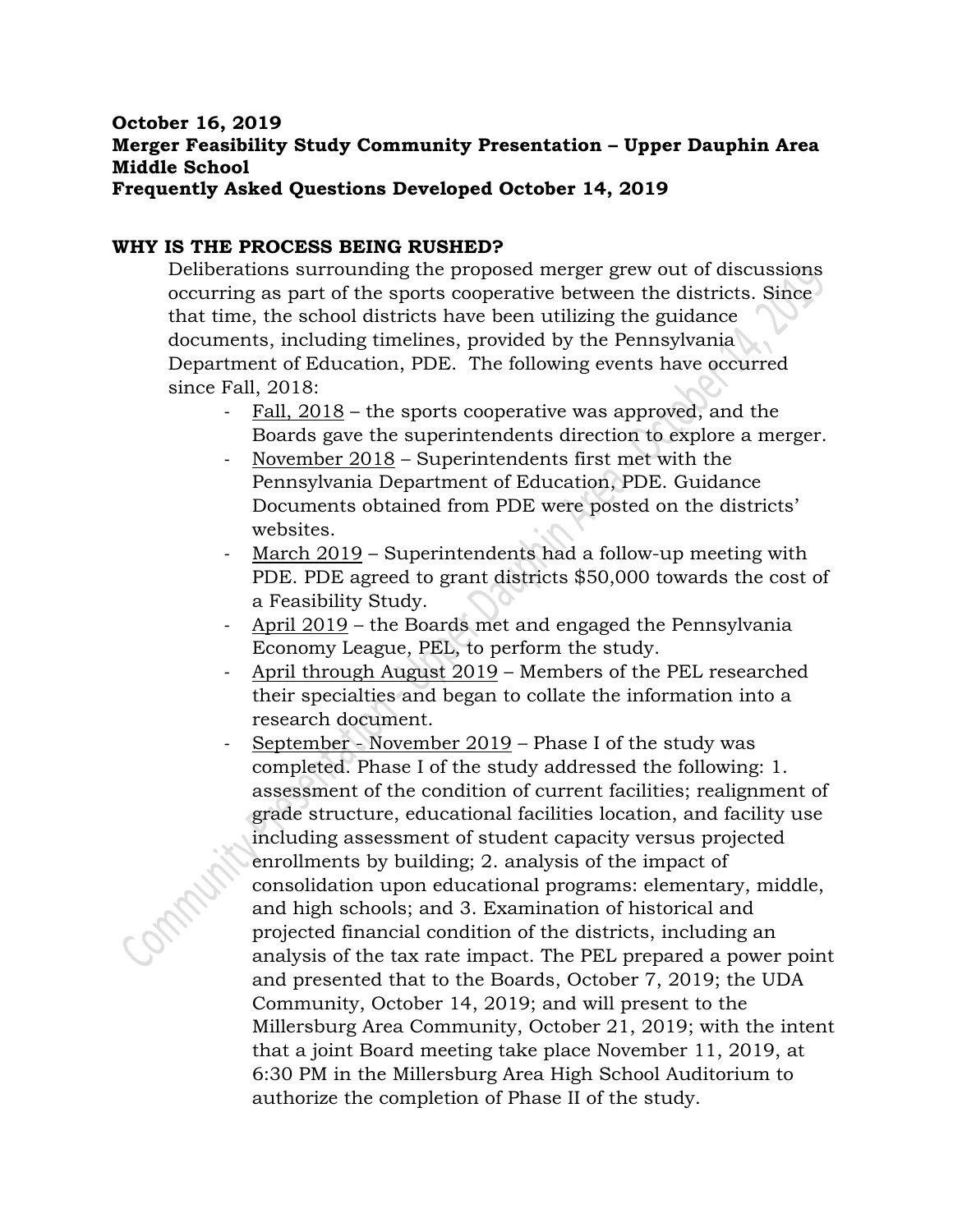#### **October 16, 2019 Merger Feasibility Study Community Presentation – Upper Dauphin Area Middle School Frequently Asked Questions Developed October 14, 2019**

#### **WHY IS THE PROCESS BEING RUSHED?**

Deliberations surrounding the proposed merger grew out of discussions occurring as part of the sports cooperative between the districts. Since that time, the school districts have been utilizing the guidance documents, including timelines, provided by the Pennsylvania Department of Education, PDE. The following events have occurred since Fall, 2018:

- Fall, 2018 the sports cooperative was approved, and the Boards gave the superintendents direction to explore a merger.
- November 2018 Superintendents first met with the Pennsylvania Department of Education, PDE. Guidance Documents obtained from PDE were posted on the districts' websites.
- March 2019 Superintendents had a follow-up meeting with PDE. PDE agreed to grant districts \$50,000 towards the cost of a Feasibility Study.
- April 2019 the Boards met and engaged the Pennsylvania Economy League, PEL, to perform the study.
- April through August 2019 Members of the PEL researched their specialties and began to collate the information into a research document.
- September November 2019 Phase I of the study was completed. Phase I of the study addressed the following: 1. assessment of the condition of current facilities; realignment of grade structure, educational facilities location, and facility use including assessment of student capacity versus projected enrollments by building; 2. analysis of the impact of consolidation upon educational programs: elementary, middle, and high schools; and 3. Examination of historical and projected financial condition of the districts, including an analysis of the tax rate impact. The PEL prepared a power point and presented that to the Boards, October 7, 2019; the UDA Community, October 14, 2019; and will present to the Millersburg Area Community, October 21, 2019; with the intent that a joint Board meeting take place November 11, 2019, at 6:30 PM in the Millersburg Area High School Auditorium to authorize the completion of Phase II of the study.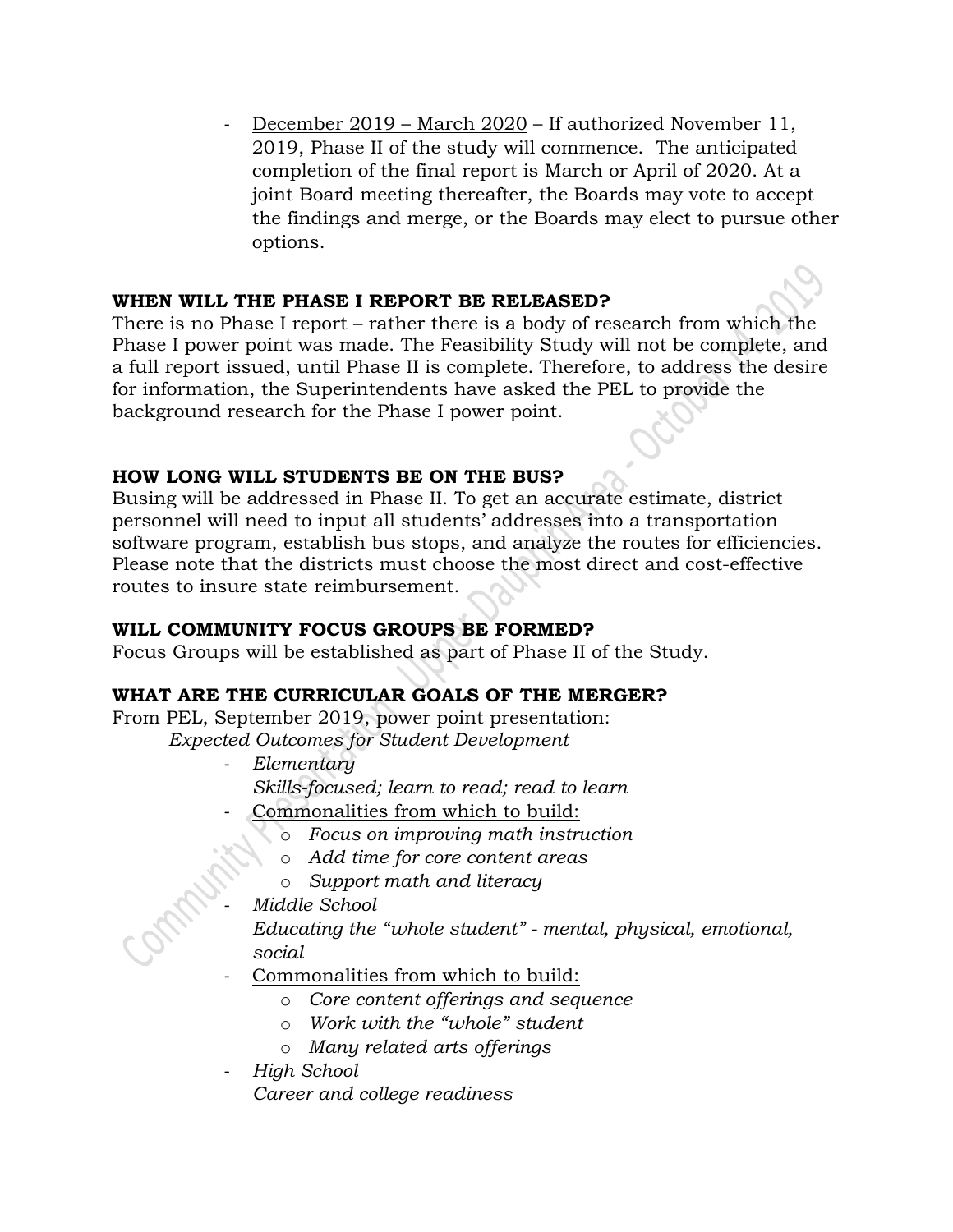December 2019 – March 2020 – If authorized November 11, 2019, Phase II of the study will commence. The anticipated completion of the final report is March or April of 2020. At a joint Board meeting thereafter, the Boards may vote to accept the findings and merge, or the Boards may elect to pursue other options.

#### **WHEN WILL THE PHASE I REPORT BE RELEASED?**

There is no Phase I report – rather there is a body of research from which the Phase I power point was made. The Feasibility Study will not be complete, and a full report issued, until Phase II is complete. Therefore, to address the desire for information, the Superintendents have asked the PEL to provide the background research for the Phase I power point.

# **HOW LONG WILL STUDENTS BE ON THE BUS?**

Busing will be addressed in Phase II. To get an accurate estimate, district personnel will need to input all students' addresses into a transportation software program, establish bus stops, and analyze the routes for efficiencies. Please note that the districts must choose the most direct and cost-effective routes to insure state reimbursement.

# **WILL COMMUNITY FOCUS GROUPS BE FORMED?**

Focus Groups will be established as part of Phase II of the Study.

# **WHAT ARE THE CURRICULAR GOALS OF THE MERGER?**

From PEL, September 2019, power point presentation:

- *Expected Outcomes for Student Development* 
	- *Elementary Skills-focused; learn to read; read to learn*
		- Commonalities from which to build:
			- o *Focus on improving math instruction*
			- o *Add time for core content areas*
			- o *Support math and literacy*
			- *Middle School*

*Educating the "whole student" - mental, physical, emotional, social*

- Commonalities from which to build:
	- o *Core content offerings and sequence*
	- o *Work with the "whole" student*
	- o *Many related arts offerings*
- *High School*

*Career and college readiness*